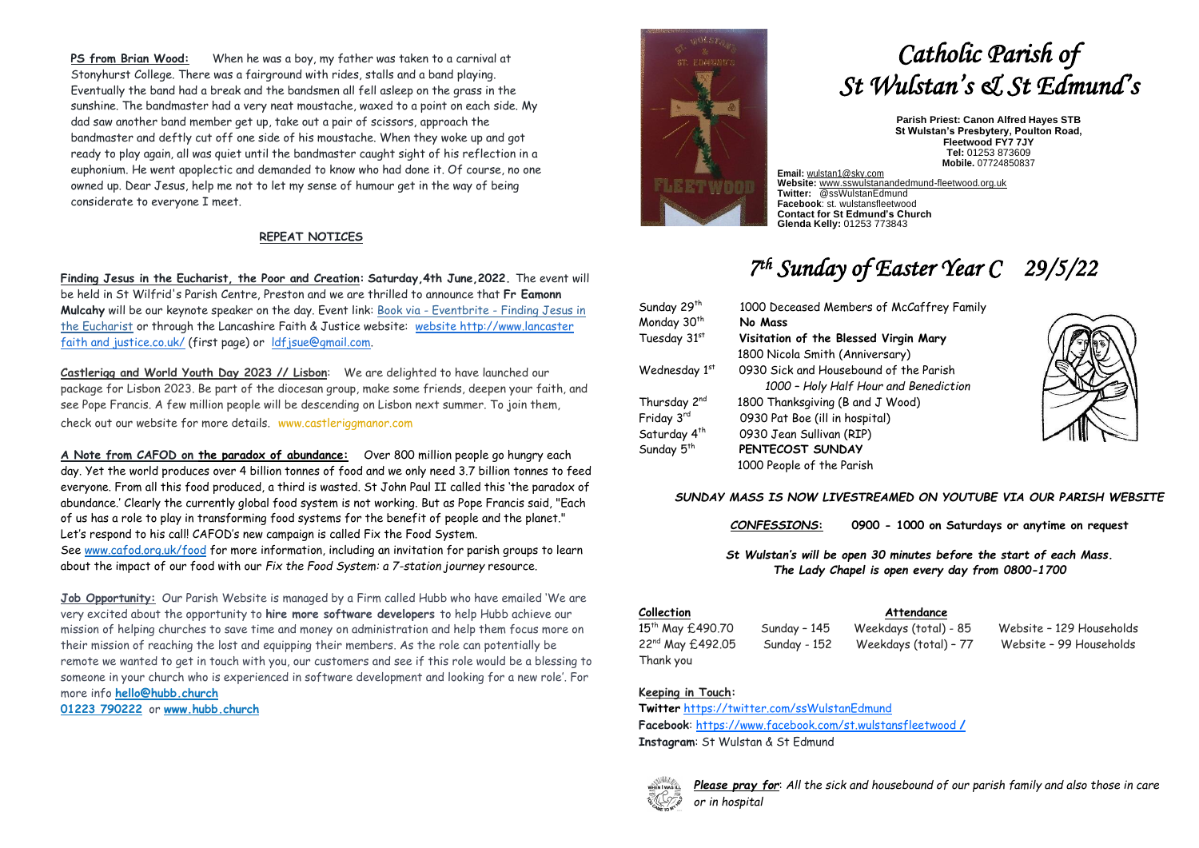**PS from Brian Wood:** When he was a boy, my father was taken to a carnival at Stonyhurst College. There was a fairground with rides, stalls and a band playing. Eventually the band had a break and the bandsmen all fell asleep on the grass in the sunshine. The bandmaster had a very neat moustache, waxed to a point on each side. My dad saw another band member get up, take out a pair of scissors, approach the bandmaster and deftly cut off one side of his moustache. When they woke up and got ready to play again, all was quiet until the bandmaster caught sight of his reflection in a euphonium. He went apoplectic and demanded to know who had done it. Of course, no one owned up. Dear Jesus, help me not to let my sense of humour get in the way of being considerate to everyone I meet.

## **REPEAT NOTICES**

**Finding Jesus in the Eucharist, the Poor and Creation: Saturday,4th June,2022.** The event will be held in St Wilfrid's Parish Centre, Preston and we are thrilled to announce that **Fr Eamonn Mulcahy** will be our keynote speaker on the day. Event link: Book via - Eventbrite - [Finding Jesus in](https://justice-and-peace.us7.list-manage.com/track/click?u=43dc262537b1536e87dc04eca&id=873efdab5a&e=a1b36d1c7b)  [the Eucharist](https://justice-and-peace.us7.list-manage.com/track/click?u=43dc262537b1536e87dc04eca&id=873efdab5a&e=a1b36d1c7b) or through the Lancashire Faith & Justice website: [website](http://goog_1942359649/) [http://www.lancaster](http://www.lancasterfaithandjustice.co.uk/)  [faith and justice.co.uk/](http://www.lancasterfaithandjustice.co.uk/) (first page) or [ldfjsue@gmail.com.](mailto:ldfjsue@gmail.com)

**Castlerigg and World Youth Day 2023 // Lisbon**: We are delighted to have launched our package for Lisbon 2023. Be part of the diocesan group, make some friends, deepen your faith, and see Pope Francis. A few million people will be descending on Lisbon next summer. To join them, check out our website for more details. [www.castleriggmanor.com](http://www.castleriggmanor.com/)

**A Note from CAFOD on the paradox of abundance:** Over 800 million people go hungry each day. Yet the world produces over 4 billion tonnes of food and we only need 3.7 billion tonnes to feed everyone. From all this food produced, a third is wasted. St John Paul II called this 'the paradox of abundance.' Clearly the currently global food system is not working. But as Pope Francis said, "Each of us has a role to play in transforming food systems for the benefit of people and the planet." Let's respond to his call! CAFOD's new campaign is called Fix the Food System. See [www.cafod.org.uk/food](http://www.cafod.org.uk/food) for more information, including an invitation for parish groups to learn about the impact of our food with our *Fix the Food System: a 7-station journey* resource.

**Job Opportunity:** Our Parish Website is managed by a Firm called Hubb who have emailed 'We are very excited about the opportunity to **hire more software developers** to help Hubb achieve our mission of helping churches to save time and money on administration and help them focus more on their mission of reaching the lost and equipping their members. As the role can potentially be remote we wanted to get in touch with you, our customers and see if this role would be a blessing to someone in your church who is experienced in software development and looking for a new role'. For more info **[hello@hubb.church](https://support.hubb.church/User/EmailLink.aspx?mid=1635938&sec_usr_id=1001145346&sec=eee34c1e304a82435cea41cebd83711e&lnk=3&url=nzrogl%3asvool%40sfyy.xsfixs)**

**[01223 790222](https://support.hubb.church/tel:+441223790222)** or **[www.hubb.church](https://support.hubb.church/User/EmailLink.aspx?mid=1635938&sec_usr_id=1001145346&sec=956d6009d09682549d0dd1fa08b6597f&lnk=5&url=sggkh%3a%2f%2fsfyy.xsfixs)**



# *Catholic Parish of St Wulstan's & St Edmund's*

**Parish Priest: Canon Alfred Hayes STB St Wulstan's Presbytery, Poulton Road, Fleetwood FY7 7JY Tel:** 01253 873609 **Mobile.** 07724850837

**Email:** [wulstan1@sky.com](mailto:wulstan1@sky.com) **Website:** [www.sswulstanandedmund-fleetwood.org.uk](http://www.sswulstanandedmund-fleetwood.org.uk/) **Twitter:** @ssWulstanEdmund **Facebook**: st. wulstansfleetwood **Contact for St Edmund's Church Glenda Kelly:** 01253 773843

# *7 th Sunday of Easter Year C 29/5/22*

| Sunday 29 <sup>th</sup>  | 1000 Deceased Members of McCaffrey Family |
|--------------------------|-------------------------------------------|
| Monday 30 <sup>th</sup>  | No Mass                                   |
| Tuesday 31st             | Visitation of the Blessed Virgin Mary     |
|                          | 1800 Nicola Smith (Anniversary)           |
| Wednesday 1st            | 0930 Sick and Housebound of the Parish    |
|                          | 1000 - Holy Half Hour and Benediction     |
| Thursday 2 <sup>nd</sup> | 1800 Thanksgiving (B and J Wood)          |
| Friday 3rd               | 0930 Pat Boe (ill in hospital)            |
| Saturday 4 <sup>th</sup> | 0930 Jean Sullivan (RIP)                  |
| Sunday 5 <sup>th</sup>   | PENTECOST SUNDAY                          |
|                          | 1000 People of the Parish                 |



*SUNDAY MASS IS NOW LIVESTREAMED ON YOUTUBE VIA OUR PARISH WEBSITE*

*CONFESSIONS***: 0900 - 1000 on Saturdays or anytime on request**

*St Wulstan's will be open 30 minutes before the start of each Mass. The Lady Chapel is open every day from 0800-1700*

#### **Collection Attendance**

Thank you

15th May £490.70 Sunday – 145 Weekdays (total) - 85 Website – 129 Households 22nd May £492.05 Sunday - 152 Weekdays (total) – 77 Website – 99 Households

# **Keeping in Touch:**

**Twitter** <https://twitter.com/ssWulstanEdmund> **Facebook**: https://www.facebook.com/st.wulstansfleetwood **/ Instagram**: St Wulstan & St Edmund



*Please pray for*: *All the sick and housebound of our parish family and also those in care or in hospital*